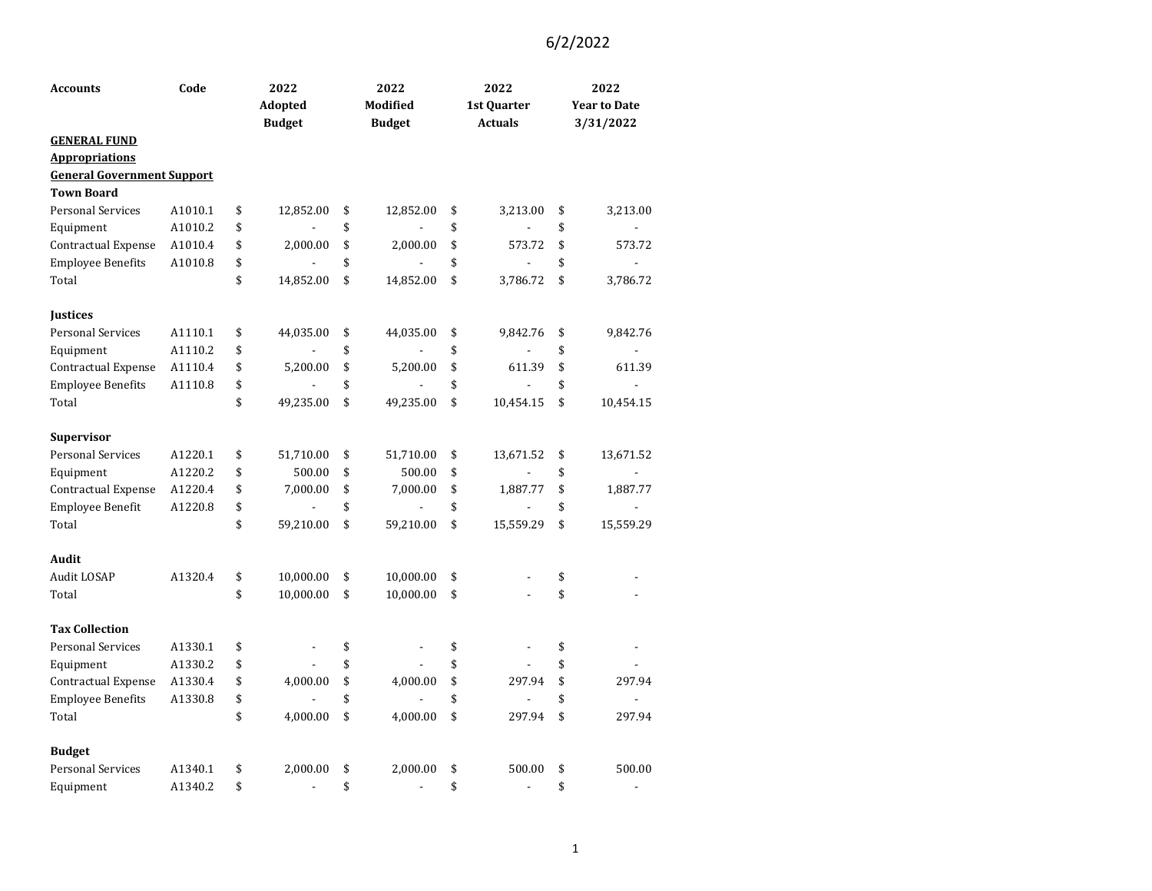| Accounts                                                   | Code    | 2022                 | 2022                 | 2022                           | 2022                           |
|------------------------------------------------------------|---------|----------------------|----------------------|--------------------------------|--------------------------------|
|                                                            |         | Adopted              | Modified             | 1st Quarter                    | <b>Year to Date</b>            |
|                                                            |         | <b>Budget</b>        | <b>Budget</b>        | <b>Actuals</b>                 | 3/31/2022                      |
| <b>GENERAL FUND</b>                                        |         |                      |                      |                                |                                |
| <b>Appropriations</b><br><b>General Government Support</b> |         |                      |                      |                                |                                |
| <b>Town Board</b>                                          |         |                      |                      |                                |                                |
| <b>Personal Services</b>                                   | A1010.1 | \$<br>12,852.00      | \$<br>12,852.00      | \$<br>3,213.00                 | \$<br>3,213.00                 |
|                                                            | A1010.2 | \$                   | \$                   | \$                             | \$                             |
| Equipment                                                  | A1010.4 | \$<br>2,000.00       | \$<br>2,000.00       | \$<br>573.72                   | \$<br>573.72                   |
| Contractual Expense<br><b>Employee Benefits</b>            |         | \$                   | \$                   | \$                             | \$                             |
|                                                            | A1010.8 | \$                   |                      |                                |                                |
| Total                                                      |         | 14,852.00            | \$<br>14,852.00      | \$<br>3,786.72                 | \$<br>3,786.72                 |
| <b>Justices</b>                                            |         |                      |                      |                                |                                |
| <b>Personal Services</b>                                   | A1110.1 | \$<br>44,035.00      | \$<br>44,035.00      | \$<br>9,842.76                 | \$<br>9,842.76                 |
| Equipment                                                  | A1110.2 | \$                   | \$                   | \$                             | \$                             |
| Contractual Expense                                        | A1110.4 | \$<br>5,200.00       | \$<br>5,200.00       | \$<br>611.39                   | \$<br>611.39                   |
| <b>Employee Benefits</b>                                   | A1110.8 | \$                   | \$                   | \$                             | \$<br>L.                       |
| Total                                                      |         | \$<br>49,235.00      | \$<br>49,235.00      | \$<br>10,454.15                | \$<br>10,454.15                |
|                                                            |         |                      |                      |                                |                                |
| <b>Supervisor</b>                                          |         |                      |                      |                                |                                |
| <b>Personal Services</b>                                   | A1220.1 | \$<br>51,710.00      | \$<br>51,710.00      | \$<br>13,671.52                | \$<br>13,671.52                |
| Equipment                                                  | A1220.2 | \$<br>500.00         | \$<br>500.00         | \$                             | \$                             |
| Contractual Expense                                        | A1220.4 | \$<br>7,000.00       | \$<br>7,000.00       | \$<br>1,887.77                 | \$<br>1,887.77                 |
| Employee Benefit                                           | A1220.8 | \$                   | \$                   | \$                             | \$                             |
| Total                                                      |         | \$<br>59,210.00      | \$<br>59,210.00      | \$<br>15,559.29                | \$<br>15,559.29                |
|                                                            |         |                      |                      |                                |                                |
| Audit                                                      |         |                      |                      |                                |                                |
| Audit LOSAP                                                | A1320.4 | \$<br>10,000.00      | \$<br>10,000.00      | \$                             | \$                             |
| Total                                                      |         | \$<br>10,000.00      | \$<br>10,000.00      | \$                             | \$                             |
|                                                            |         |                      |                      |                                |                                |
| <b>Tax Collection</b>                                      |         |                      |                      |                                |                                |
| <b>Personal Services</b>                                   | A1330.1 | \$<br>$\overline{a}$ | \$<br>$\blacksquare$ | \$<br>L,                       | \$                             |
| Equipment                                                  | A1330.2 | \$                   | \$                   | \$                             | \$                             |
| Contractual Expense                                        | A1330.4 | \$<br>4,000.00       | \$<br>4,000.00       | \$<br>297.94                   | \$<br>297.94                   |
| <b>Employee Benefits</b>                                   | A1330.8 | \$                   | \$                   | \$                             | \$                             |
| Total                                                      |         | \$<br>4,000.00       | \$<br>4,000.00       | \$<br>297.94                   | \$<br>297.94                   |
|                                                            |         |                      |                      |                                |                                |
| <b>Budget</b>                                              |         |                      |                      |                                |                                |
| <b>Personal Services</b>                                   | A1340.1 | \$<br>2,000.00       | \$<br>2,000.00       | \$<br>500.00                   | \$<br>500.00                   |
| Equipment                                                  | A1340.2 | \$<br>$\blacksquare$ | \$<br>$\blacksquare$ | \$<br>$\overline{\phantom{a}}$ | \$<br>$\overline{\phantom{a}}$ |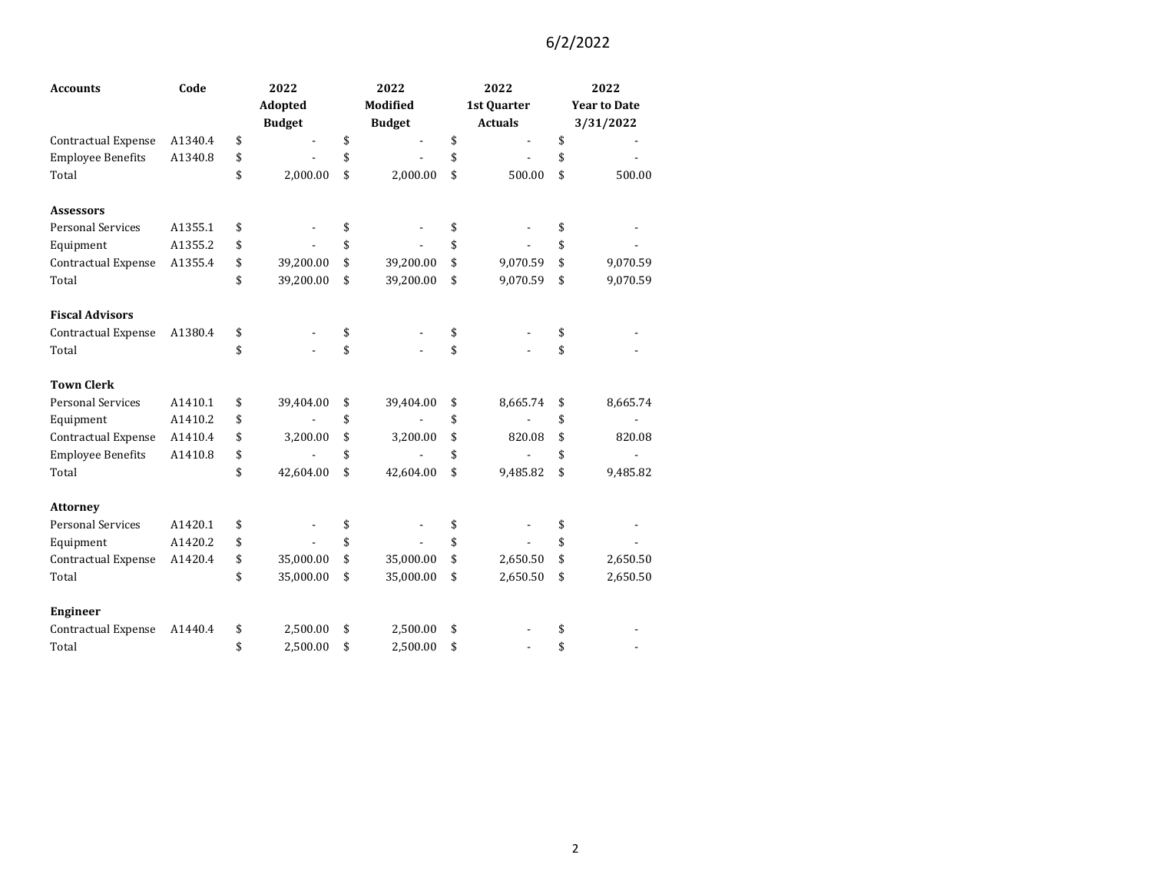| <b>Accounts</b>            | Code    | 2022            | 2022            | 2022           | 2022                |
|----------------------------|---------|-----------------|-----------------|----------------|---------------------|
|                            |         | Adopted         | <b>Modified</b> | 1st Quarter    | <b>Year to Date</b> |
|                            |         | <b>Budget</b>   | <b>Budget</b>   | <b>Actuals</b> | 3/31/2022           |
| <b>Contractual Expense</b> | A1340.4 | \$              | \$              | \$             | \$                  |
| <b>Employee Benefits</b>   | A1340.8 | \$              | \$              | \$             | \$                  |
| Total                      |         | \$<br>2,000.00  | \$<br>2,000.00  | \$<br>500.00   | \$<br>500.00        |
| <b>Assessors</b>           |         |                 |                 |                |                     |
| <b>Personal Services</b>   | A1355.1 | \$              | \$              | \$             | \$                  |
| Equipment                  | A1355.2 | \$              | \$              | \$             | \$                  |
| Contractual Expense        | A1355.4 | \$<br>39,200.00 | \$<br>39,200.00 | \$<br>9,070.59 | \$<br>9,070.59      |
| Total                      |         | \$<br>39,200.00 | \$<br>39,200.00 | \$<br>9,070.59 | \$<br>9,070.59      |
| <b>Fiscal Advisors</b>     |         |                 |                 |                |                     |
| Contractual Expense        | A1380.4 | \$              | \$              | \$             | \$                  |
| Total                      |         | \$              | \$              | \$             | \$                  |
| <b>Town Clerk</b>          |         |                 |                 |                |                     |
| <b>Personal Services</b>   | A1410.1 | \$<br>39,404.00 | \$<br>39,404.00 | \$<br>8,665.74 | \$<br>8,665.74      |
| Equipment                  | A1410.2 | \$              | \$              | \$             | \$                  |
| Contractual Expense        | A1410.4 | \$<br>3,200.00  | \$<br>3,200.00  | \$<br>820.08   | \$<br>820.08        |
| <b>Employee Benefits</b>   | A1410.8 | \$              | \$              | \$             | \$                  |
| Total                      |         | \$<br>42,604.00 | \$<br>42,604.00 | \$<br>9,485.82 | \$<br>9,485.82      |
| <b>Attorney</b>            |         |                 |                 |                |                     |
| <b>Personal Services</b>   | A1420.1 | \$              | \$              | \$             | \$                  |
| Equipment                  | A1420.2 | \$              | \$              | \$             | \$                  |
| Contractual Expense        | A1420.4 | \$<br>35,000.00 | \$<br>35,000.00 | \$<br>2,650.50 | \$<br>2,650.50      |
| Total                      |         | \$<br>35,000.00 | \$<br>35,000.00 | \$<br>2,650.50 | \$<br>2,650.50      |
| <b>Engineer</b>            |         |                 |                 |                |                     |
| Contractual Expense        | A1440.4 | \$<br>2,500.00  | \$<br>2,500.00  | \$             | \$                  |
| Total                      |         | \$<br>2,500.00  | \$<br>2,500.00  | \$             | \$                  |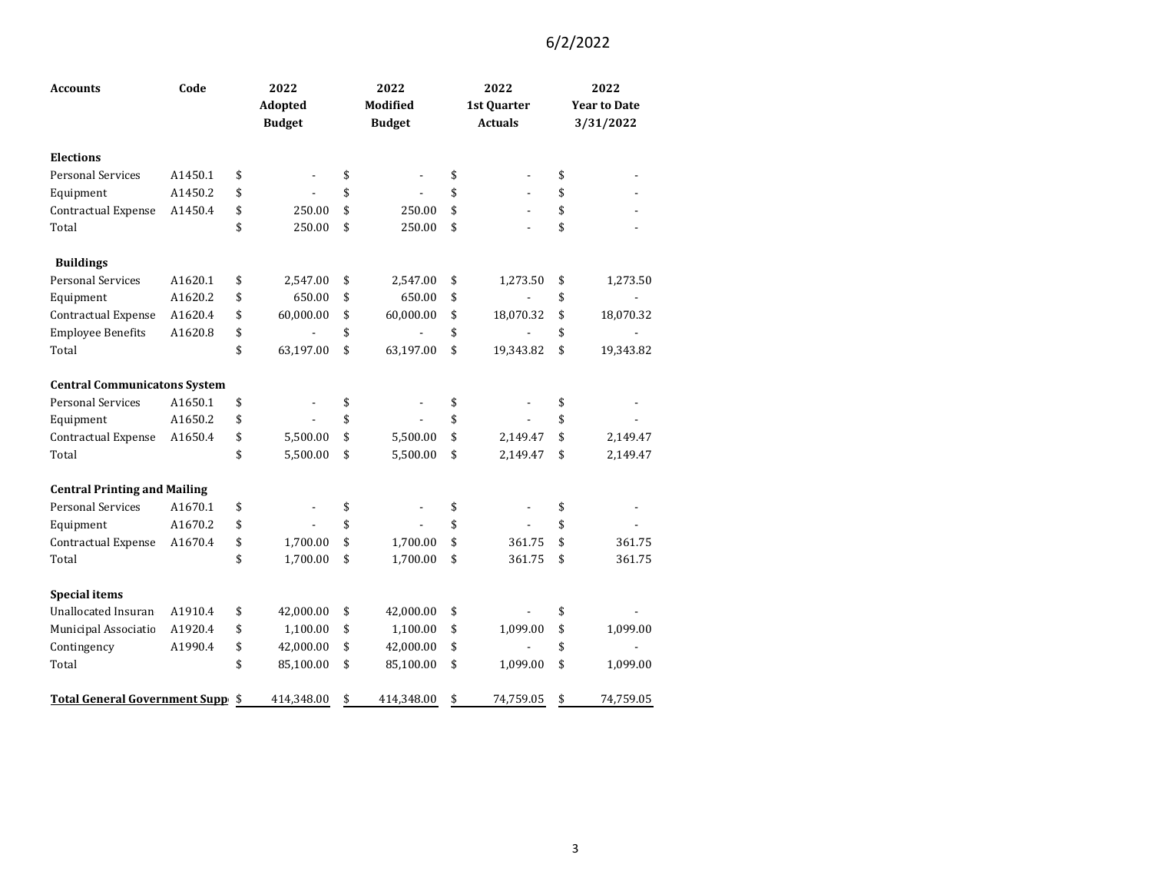| <b>Accounts</b>                     | Code    | 2022            | 2022             | 2022                           |                     | 2022      |  |
|-------------------------------------|---------|-----------------|------------------|--------------------------------|---------------------|-----------|--|
|                                     |         | Adopted         | Modified         | 1st Quarter                    | <b>Year to Date</b> |           |  |
|                                     |         | <b>Budget</b>   | <b>Budget</b>    | <b>Actuals</b>                 |                     | 3/31/2022 |  |
| <b>Elections</b>                    |         |                 |                  |                                |                     |           |  |
| <b>Personal Services</b>            | A1450.1 | \$              | \$               | \$                             | \$                  |           |  |
| Equipment                           | A1450.2 | \$              | \$               | \$                             | \$                  |           |  |
| Contractual Expense                 | A1450.4 | \$<br>250.00    | \$<br>250.00     | \$<br>$\overline{\phantom{a}}$ | \$                  |           |  |
| Total                               |         | \$<br>250.00    | \$<br>250.00     | \$                             | \$                  |           |  |
| <b>Buildings</b>                    |         |                 |                  |                                |                     |           |  |
| <b>Personal Services</b>            | A1620.1 | \$<br>2,547.00  | \$<br>2,547.00   | \$<br>1,273.50                 | \$                  | 1,273.50  |  |
| Equipment                           | A1620.2 | \$<br>650.00    | \$<br>650.00     | \$<br>$\frac{1}{2}$            | \$                  |           |  |
| Contractual Expense                 | A1620.4 | \$<br>60,000.00 | \$<br>60,000.00  | \$<br>18,070.32                | \$                  | 18,070.32 |  |
| <b>Employee Benefits</b>            | A1620.8 | \$              | \$               | \$                             | \$                  |           |  |
| Total                               |         | \$<br>63,197.00 | \$<br>63,197.00  | \$<br>19,343.82                | \$                  | 19,343.82 |  |
| <b>Central Communicatons System</b> |         |                 |                  |                                |                     |           |  |
| <b>Personal Services</b>            | A1650.1 | \$              | \$               | \$                             | \$                  |           |  |
| Equipment                           | A1650.2 | \$              | \$               | \$                             | \$                  |           |  |
| Contractual Expense                 | A1650.4 | \$<br>5,500.00  | \$<br>5,500.00   | \$<br>2,149.47                 | \$                  | 2,149.47  |  |
| Total                               |         | \$<br>5,500.00  | \$<br>5,500.00   | \$<br>2,149.47                 | \$                  | 2,149.47  |  |
| <b>Central Printing and Mailing</b> |         |                 |                  |                                |                     |           |  |
| <b>Personal Services</b>            | A1670.1 | \$              | \$               | \$                             | \$                  |           |  |
| Equipment                           | A1670.2 | \$              | \$               | \$                             | \$                  |           |  |
| Contractual Expense                 | A1670.4 | \$<br>1,700.00  | \$<br>1,700.00   | \$<br>361.75                   | \$                  | 361.75    |  |
| Total                               |         | \$<br>1,700.00  | \$<br>1,700.00   | \$<br>361.75                   | \$                  | 361.75    |  |
| <b>Special items</b>                |         |                 |                  |                                |                     |           |  |
| <b>Unallocated Insuran</b>          | A1910.4 | \$<br>42,000.00 | \$<br>42,000.00  | \$                             | \$                  |           |  |
| Municipal Associatio                | A1920.4 | \$<br>1,100.00  | \$<br>1,100.00   | \$<br>1,099.00                 | \$                  | 1,099.00  |  |
| Contingency                         | A1990.4 | \$<br>42,000.00 | \$<br>42,000.00  | \$                             | \$                  |           |  |
| Total                               |         | \$<br>85,100.00 | \$<br>85,100.00  | \$<br>1,099.00                 | \$                  | 1,099.00  |  |
| Total General Government Supp \$    |         | 414,348.00      | \$<br>414,348.00 | \$<br>74,759.05                | \$                  | 74,759.05 |  |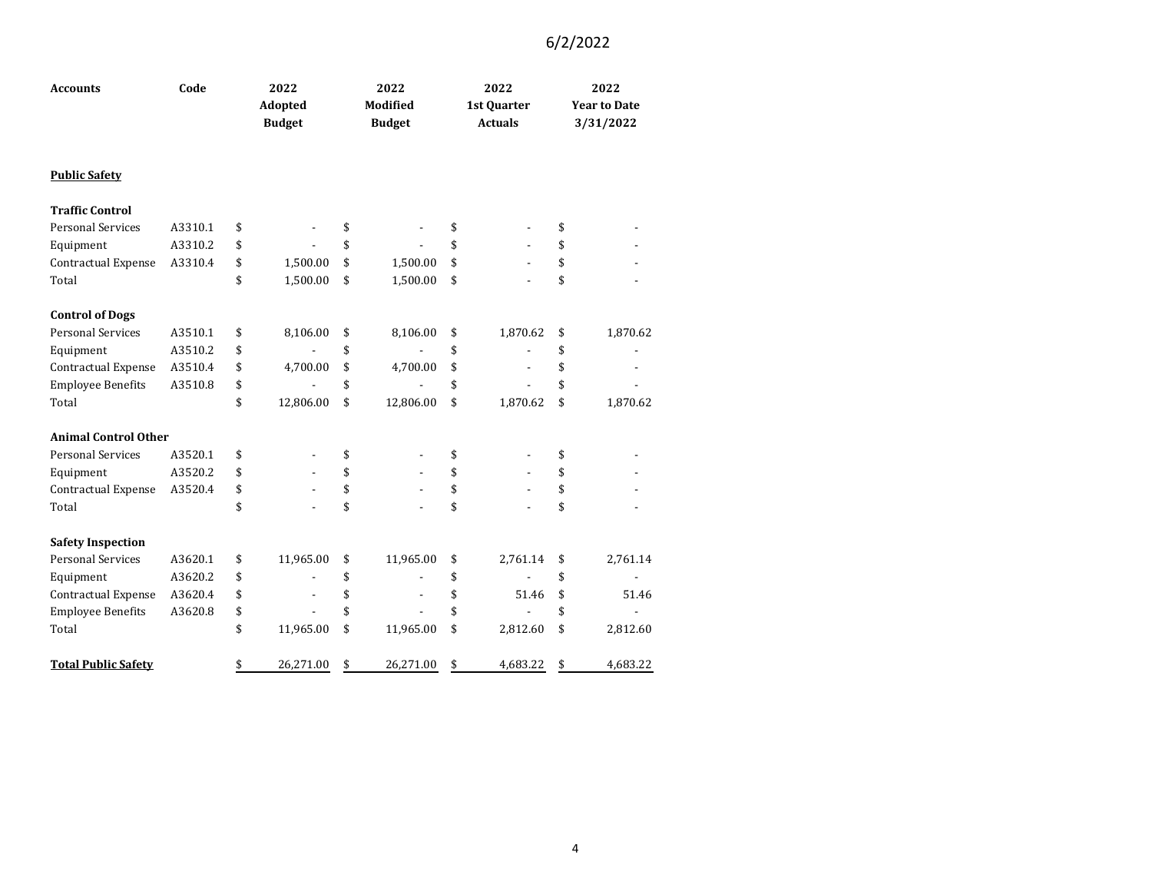| <b>Accounts</b>             | Code    |    | 2022<br>Adopted<br><b>Budget</b> |    | 2022<br>Modified<br><b>Budget</b> |    | 2022<br>1st Quarter<br><b>Actuals</b> | 2022<br><b>Year to Date</b><br>3/31/2022 |          |
|-----------------------------|---------|----|----------------------------------|----|-----------------------------------|----|---------------------------------------|------------------------------------------|----------|
| <b>Public Safety</b>        |         |    |                                  |    |                                   |    |                                       |                                          |          |
| <b>Traffic Control</b>      |         |    |                                  |    |                                   |    |                                       |                                          |          |
| <b>Personal Services</b>    | A3310.1 | \$ |                                  | \$ |                                   | \$ |                                       | \$                                       |          |
| Equipment                   | A3310.2 | \$ |                                  | \$ |                                   | \$ |                                       | \$                                       |          |
| Contractual Expense         | A3310.4 | \$ | 1,500.00                         | \$ | 1,500.00                          | \$ |                                       | \$                                       |          |
| Total                       |         | \$ | 1,500.00                         | \$ | 1,500.00                          | \$ |                                       | \$                                       |          |
| <b>Control of Dogs</b>      |         |    |                                  |    |                                   |    |                                       |                                          |          |
| <b>Personal Services</b>    | A3510.1 | \$ | 8,106.00                         | \$ | 8,106.00                          | \$ | 1,870.62                              | \$                                       | 1,870.62 |
| Equipment                   | A3510.2 | \$ |                                  | \$ |                                   | \$ |                                       | \$                                       |          |
| Contractual Expense         | A3510.4 | \$ | 4,700.00                         | \$ | 4,700.00                          | \$ | $\frac{1}{2}$                         | \$                                       |          |
| <b>Employee Benefits</b>    | A3510.8 | \$ |                                  | \$ |                                   | \$ |                                       | \$                                       |          |
| Total                       |         | \$ | 12,806.00                        | \$ | 12,806.00                         | \$ | 1,870.62                              | \$                                       | 1,870.62 |
| <b>Animal Control Other</b> |         |    |                                  |    |                                   |    |                                       |                                          |          |
| <b>Personal Services</b>    | A3520.1 | \$ |                                  | \$ |                                   | \$ |                                       | \$                                       |          |
| Equipment                   | A3520.2 | \$ |                                  | \$ |                                   | \$ |                                       | \$                                       |          |
| Contractual Expense         | A3520.4 | \$ |                                  | \$ |                                   | \$ |                                       | \$                                       |          |
| Total                       |         | \$ |                                  | \$ |                                   | \$ |                                       | \$                                       |          |
| <b>Safety Inspection</b>    |         |    |                                  |    |                                   |    |                                       |                                          |          |
| <b>Personal Services</b>    | A3620.1 | \$ | 11,965.00                        | \$ | 11,965.00                         | \$ | 2,761.14                              | \$                                       | 2,761.14 |
| Equipment                   | A3620.2 | \$ |                                  | \$ |                                   | \$ |                                       | \$                                       |          |
| Contractual Expense         | A3620.4 | \$ |                                  | \$ |                                   | \$ | 51.46                                 | \$                                       | 51.46    |
| <b>Employee Benefits</b>    | A3620.8 | \$ |                                  | \$ |                                   | \$ |                                       | \$                                       |          |
| Total                       |         | \$ | 11,965.00                        | \$ | 11,965.00                         | \$ | 2,812.60                              | \$                                       | 2,812.60 |
| <b>Total Public Safety</b>  |         | \$ | 26,271.00                        | \$ | 26,271.00                         | \$ | 4,683.22                              | \$                                       | 4,683.22 |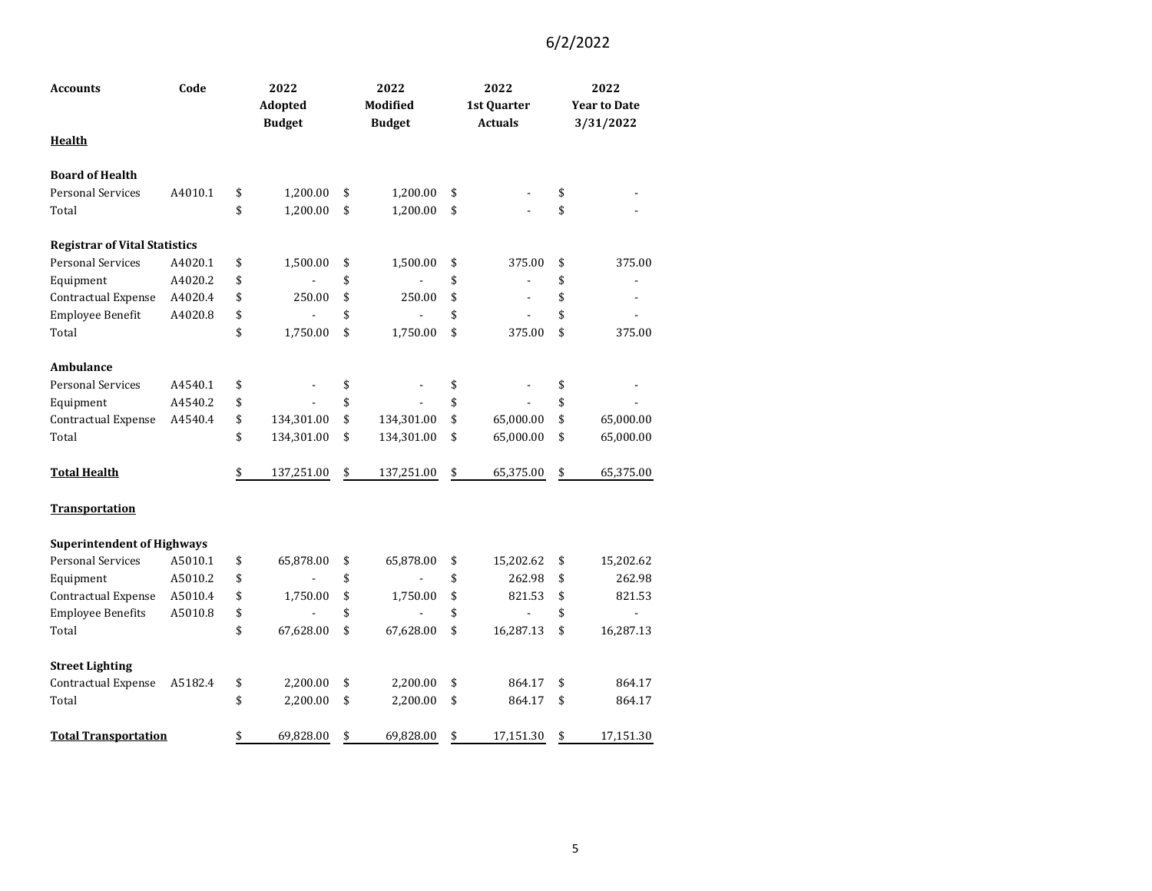| <b>Accounts</b>                      | Code    | 2022<br>Adopted  | 2022<br>Modified | 2022<br>1st Quarter            | 2022<br><b>Year to Date</b> |
|--------------------------------------|---------|------------------|------------------|--------------------------------|-----------------------------|
| <b>Health</b>                        |         | <b>Budget</b>    | <b>Budget</b>    | <b>Actuals</b>                 | 3/31/2022                   |
| <b>Board of Health</b>               |         |                  |                  |                                |                             |
| <b>Personal Services</b>             | A4010.1 | \$<br>1,200.00   | \$<br>1,200.00   | \$                             | \$                          |
| Total                                |         | \$<br>1,200.00   | \$<br>1,200.00   | \$                             | \$                          |
| <b>Registrar of Vital Statistics</b> |         |                  |                  |                                |                             |
| <b>Personal Services</b>             | A4020.1 | \$<br>1,500.00   | \$<br>1,500.00   | \$<br>375.00                   | \$<br>375.00                |
| Equipment                            | A4020.2 | \$               | \$               | \$<br>$\overline{\phantom{m}}$ | \$<br>$\blacksquare$        |
| Contractual Expense                  | A4020.4 | \$<br>250.00     | \$<br>250.00     | \$<br>$\overline{a}$           | \$                          |
| Employee Benefit                     | A4020.8 | \$               | \$               | \$<br>$\overline{a}$           | \$                          |
| Total                                |         | \$<br>1,750.00   | \$<br>1,750.00   | \$<br>375.00                   | \$<br>375.00                |
| Ambulance                            |         |                  |                  |                                |                             |
| <b>Personal Services</b>             | A4540.1 | \$               | \$               | \$                             | \$                          |
| Equipment                            | A4540.2 | \$               | \$               | \$                             | \$                          |
| Contractual Expense                  | A4540.4 | \$<br>134,301.00 | \$<br>134,301.00 | \$<br>65,000.00                | \$<br>65,000.00             |
| Total                                |         | \$<br>134,301.00 | \$<br>134,301.00 | \$<br>65,000.00                | \$<br>65,000.00             |
| <b>Total Health</b>                  |         | \$<br>137,251.00 | \$<br>137,251.00 | \$<br>65,375.00                | \$<br>65,375.00             |
| <b>Transportation</b>                |         |                  |                  |                                |                             |
| <b>Superintendent of Highways</b>    |         |                  |                  |                                |                             |
| <b>Personal Services</b>             | A5010.1 | \$<br>65,878.00  | \$<br>65,878.00  | \$<br>15,202.62                | \$<br>15,202.62             |
| Equipment                            | A5010.2 | \$               | \$               | \$<br>262.98                   | \$<br>262.98                |
| Contractual Expense                  | A5010.4 | \$<br>1,750.00   | \$<br>1,750.00   | \$<br>821.53                   | \$<br>821.53                |
| <b>Employee Benefits</b>             | A5010.8 | \$               | \$               | \$                             | \$<br>÷                     |
| Total                                |         | \$<br>67,628.00  | \$<br>67,628.00  | \$<br>16,287.13                | \$<br>16,287.13             |
| <b>Street Lighting</b>               |         |                  |                  |                                |                             |
| Contractual Expense                  | A5182.4 | \$<br>2,200.00   | \$<br>2,200.00   | \$<br>864.17                   | \$<br>864.17                |
| Total                                |         | \$<br>2,200.00   | \$<br>2,200.00   | \$<br>864.17                   | \$<br>864.17                |
| <b>Total Transportation</b>          |         | \$<br>69,828.00  | \$<br>69,828.00  | \$<br>17,151.30                | \$<br>17,151.30             |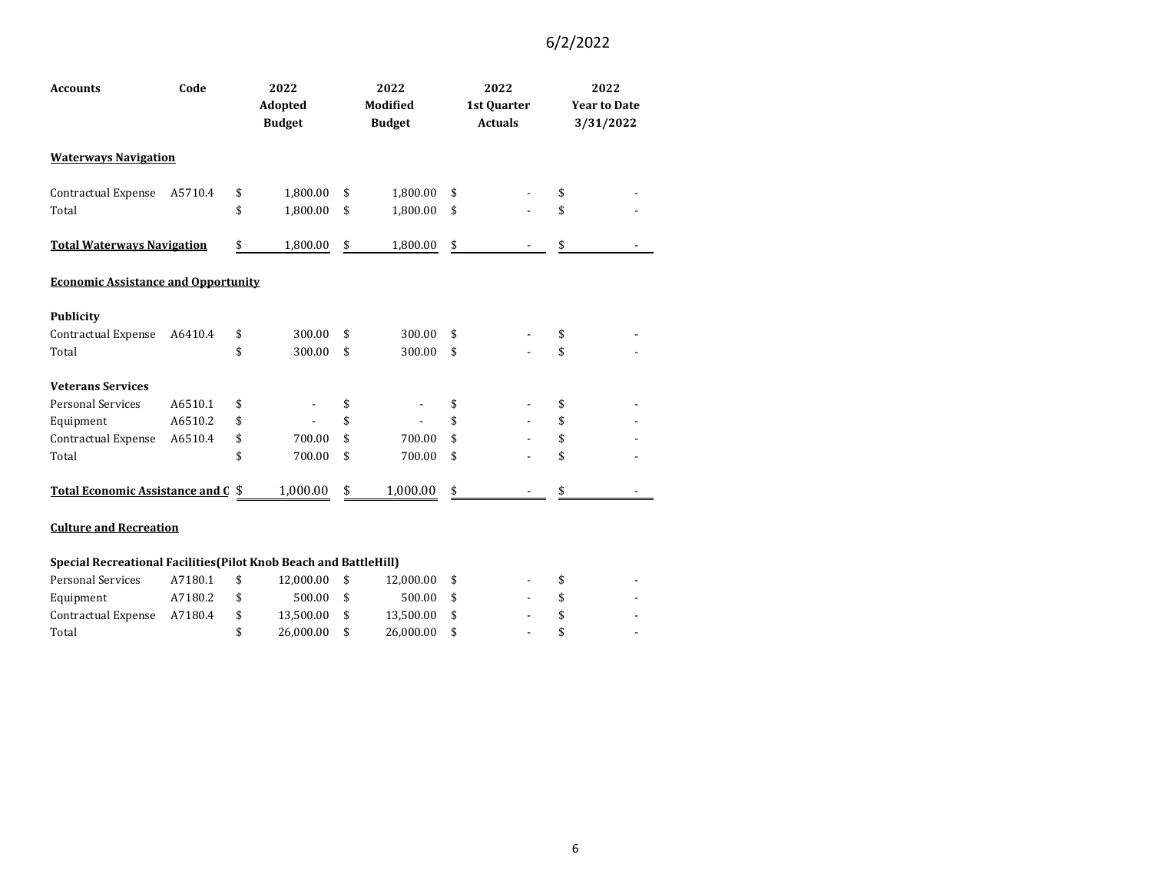| <b>Accounts</b>                            | Code    | 2022<br>2022<br><b>Modified</b><br>Adopted<br><b>Budget</b><br><b>Budget</b> |          | 2022<br>1st Quarter<br><b>Actuals</b> | 2022<br><b>Year to Date</b><br>3/31/2022 |    |  |
|--------------------------------------------|---------|------------------------------------------------------------------------------|----------|---------------------------------------|------------------------------------------|----|--|
| <b>Waterways Navigation</b>                |         |                                                                              |          |                                       |                                          |    |  |
| Contractual Expense                        | A5710.4 | \$                                                                           | 1,800.00 | \$<br>1,800.00                        | \$                                       |    |  |
| Total                                      |         | \$                                                                           | 1,800.00 | \$<br>1,800.00                        | \$                                       | \$ |  |
| <b>Total Waterways Navigation</b>          |         | \$                                                                           | 1,800.00 | \$<br>1,800.00                        | \$                                       | \$ |  |
| <b>Economic Assistance and Opportunity</b> |         |                                                                              |          |                                       |                                          |    |  |
| <b>Publicity</b>                           |         |                                                                              |          |                                       |                                          |    |  |
| Contractual Expense                        | A6410.4 | \$                                                                           | 300.00   | \$<br>300.00                          | \$                                       | \$ |  |
| Total                                      |         | \$                                                                           | 300.00   | \$<br>300.00                          | \$                                       | \$ |  |
| <b>Veterans Services</b>                   |         |                                                                              |          |                                       |                                          |    |  |
| <b>Personal Services</b>                   | A6510.1 | \$                                                                           |          | \$                                    | \$                                       | \$ |  |
| Equipment                                  | A6510.2 | \$                                                                           |          | \$                                    | \$                                       | \$ |  |
| Contractual Expense                        | A6510.4 | \$                                                                           | 700.00   | \$<br>700.00                          | \$                                       | \$ |  |
| Total                                      |         | \$                                                                           | 700.00   | \$<br>700.00                          | \$                                       | \$ |  |
| Total Economic Assistance and C \$         |         |                                                                              | 1,000.00 | \$<br>1,000.00                        | \$                                       | \$ |  |

#### **Culture and Recreation**

#### **Special Recreational Facilities(Pilot Knob Beach and BattleHill)**

| Personal Services           | A7180.1 | 12.000.00 | 12.000.00 \$   |        |               |     |
|-----------------------------|---------|-----------|----------------|--------|---------------|-----|
| Equipment                   | A7180.2 | 500.00    | 500.00 \$      |        |               | . . |
| Contractual Expense A7180.4 |         | 13.500.00 | 13.500.00 \$   | $\sim$ | $\mathcal{S}$ |     |
| Total                       |         | 26.000.00 | $26,000.00$ \$ | $\sim$ |               |     |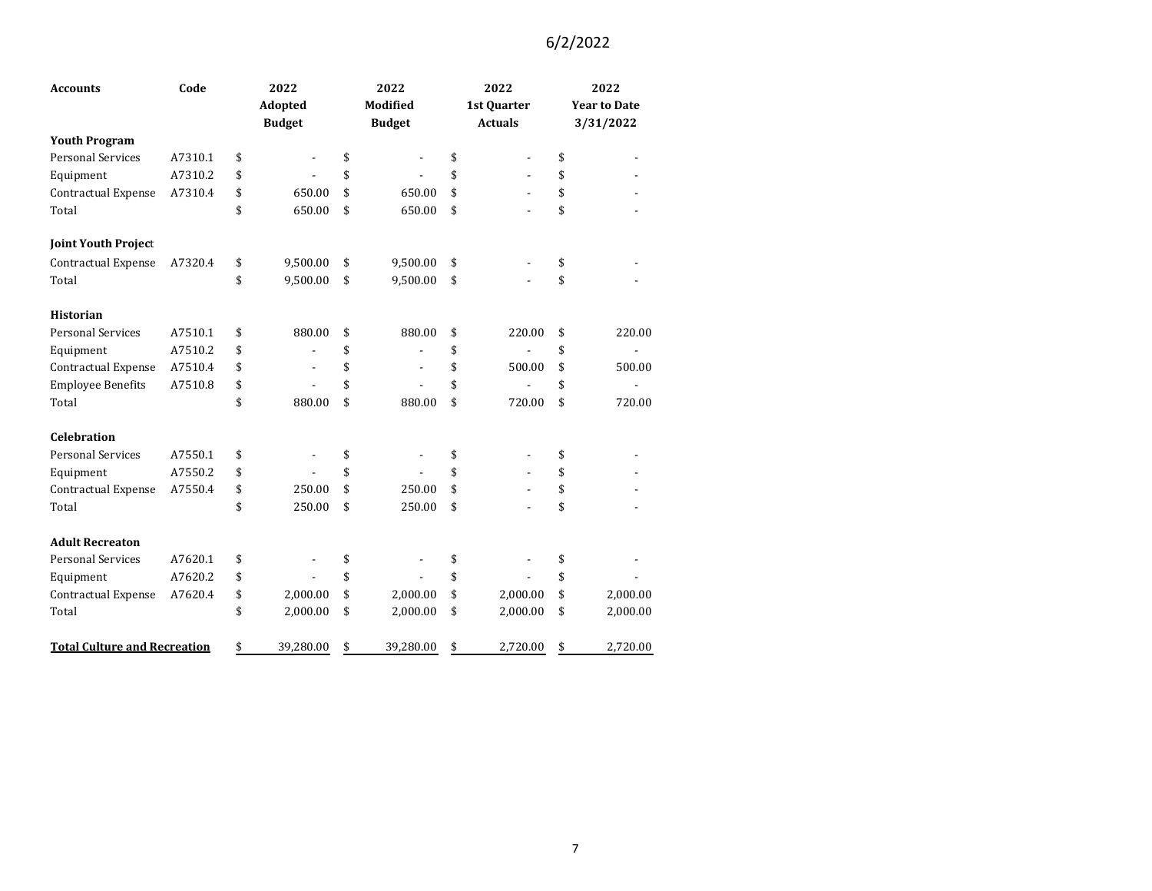| <b>Accounts</b>                     | Code    | 2022                           | 2022                           | 2022           |                     | 2022      |  |
|-------------------------------------|---------|--------------------------------|--------------------------------|----------------|---------------------|-----------|--|
|                                     |         | Adopted                        | <b>Modified</b>                | 1st Quarter    | <b>Year to Date</b> |           |  |
|                                     |         | <b>Budget</b>                  | <b>Budget</b>                  | <b>Actuals</b> |                     | 3/31/2022 |  |
| <b>Youth Program</b>                |         |                                |                                |                |                     |           |  |
| <b>Personal Services</b>            | A7310.1 | \$                             | \$                             | \$             | \$                  |           |  |
| Equipment                           | A7310.2 | \$                             | \$                             | \$             | \$                  |           |  |
| Contractual Expense                 | A7310.4 | \$<br>650.00                   | \$<br>650.00                   | \$             | \$                  |           |  |
| Total                               |         | \$<br>650.00                   | \$<br>650.00                   | \$             | \$                  |           |  |
| <b>Joint Youth Project</b>          |         |                                |                                |                |                     |           |  |
| Contractual Expense                 | A7320.4 | \$<br>9,500.00                 | \$<br>9,500.00                 | \$             | \$                  |           |  |
| Total                               |         | \$<br>9,500.00                 | \$<br>9,500.00                 | \$             | \$                  |           |  |
| <b>Historian</b>                    |         |                                |                                |                |                     |           |  |
| <b>Personal Services</b>            | A7510.1 | \$<br>880.00                   | \$<br>880.00                   | \$<br>220.00   | \$                  | 220.00    |  |
| Equipment                           | A7510.2 | \$                             | \$                             | \$             | \$                  |           |  |
| Contractual Expense                 | A7510.4 | \$<br>$\overline{\phantom{0}}$ | \$<br>$\overline{\phantom{a}}$ | \$<br>500.00   | \$                  | 500.00    |  |
| <b>Employee Benefits</b>            | A7510.8 | \$                             | \$                             | \$             | \$                  |           |  |
| Total                               |         | \$<br>880.00                   | \$<br>880.00                   | \$<br>720.00   | \$                  | 720.00    |  |
| <b>Celebration</b>                  |         |                                |                                |                |                     |           |  |
| <b>Personal Services</b>            | A7550.1 | \$                             | \$                             | \$             | \$                  |           |  |
| Equipment                           | A7550.2 | \$                             | \$                             | \$             | \$                  |           |  |
| Contractual Expense                 | A7550.4 | \$<br>250.00                   | \$<br>250.00                   | \$             | \$                  |           |  |
| Total                               |         | \$<br>250.00                   | \$<br>250.00                   | \$             | \$                  |           |  |
| <b>Adult Recreaton</b>              |         |                                |                                |                |                     |           |  |
| <b>Personal Services</b>            | A7620.1 | \$                             | \$                             | \$             | \$                  |           |  |
| Equipment                           | A7620.2 | \$                             | \$                             | \$             | \$                  |           |  |
| Contractual Expense                 | A7620.4 | \$<br>2,000.00                 | \$<br>2,000.00                 | \$<br>2,000.00 | \$                  | 2,000.00  |  |
| Total                               |         | \$<br>2,000.00                 | \$<br>2,000.00                 | \$<br>2,000.00 | \$                  | 2,000.00  |  |
| <b>Total Culture and Recreation</b> |         | \$<br>39,280.00                | \$<br>39,280.00                | \$<br>2,720.00 | \$                  | 2,720.00  |  |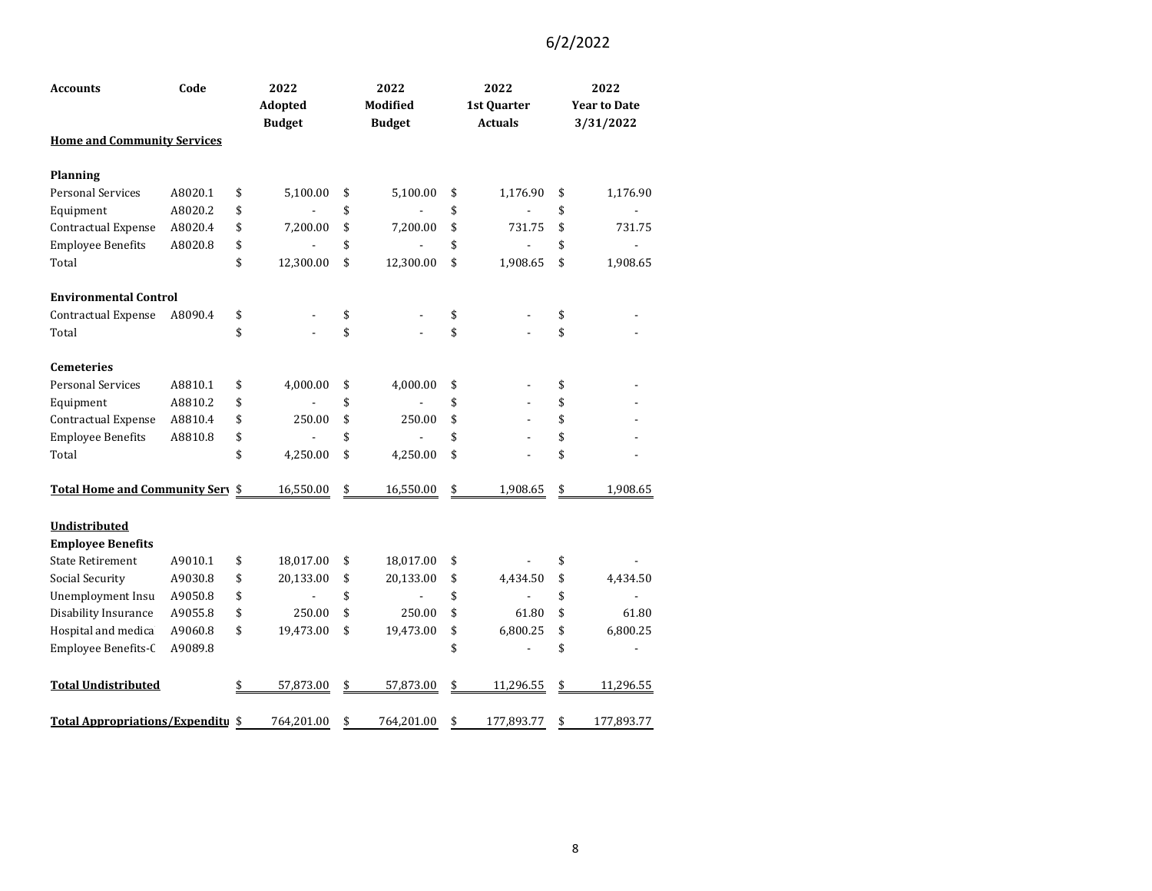| <b>Accounts</b>                         | Code    | 2022<br>Adopted<br><b>Budget</b> | 2022<br><b>Modified</b><br><b>Budget</b> | 2022<br>1st Quarter<br><b>Actuals</b> | 2022<br><b>Year to Date</b><br>3/31/2022 |
|-----------------------------------------|---------|----------------------------------|------------------------------------------|---------------------------------------|------------------------------------------|
| <b>Home and Community Services</b>      |         |                                  |                                          |                                       |                                          |
| <b>Planning</b>                         |         |                                  |                                          |                                       |                                          |
| <b>Personal Services</b>                | A8020.1 | \$<br>5,100.00                   | \$<br>5,100.00                           | \$<br>1,176.90                        | \$<br>1,176.90                           |
| Equipment                               | A8020.2 | \$                               | \$                                       | \$                                    | \$                                       |
| Contractual Expense                     | A8020.4 | \$<br>7,200.00                   | \$<br>7,200.00                           | \$<br>731.75                          | \$<br>731.75                             |
| <b>Employee Benefits</b>                | A8020.8 | \$                               | \$                                       | \$<br>$\qquad \qquad \blacksquare$    | \$                                       |
| Total                                   |         | \$<br>12,300.00                  | \$<br>12,300.00                          | \$<br>1,908.65                        | \$<br>1,908.65                           |
| <b>Environmental Control</b>            |         |                                  |                                          |                                       |                                          |
| <b>Contractual Expense</b>              | A8090.4 | \$                               | \$                                       | \$                                    | \$                                       |
| Total                                   |         | \$                               | \$                                       | \$                                    | \$                                       |
| <b>Cemeteries</b>                       |         |                                  |                                          |                                       |                                          |
| <b>Personal Services</b>                | A8810.1 | \$<br>4,000.00                   | \$<br>4,000.00                           | \$                                    | \$                                       |
| Equipment                               | A8810.2 | \$                               | \$                                       | \$                                    | \$                                       |
| Contractual Expense                     | A8810.4 | \$<br>250.00                     | \$<br>250.00                             | \$                                    | \$                                       |
| <b>Employee Benefits</b>                | A8810.8 | \$                               | \$                                       | \$                                    | \$                                       |
| Total                                   |         | \$<br>4,250.00                   | \$<br>4,250.00                           | \$                                    | \$                                       |
| <b>Total Home and Community Sery \$</b> |         | 16,550.00                        | \$<br>16,550.00                          | \$<br>1,908.65                        | \$<br>1,908.65                           |
| Undistributed                           |         |                                  |                                          |                                       |                                          |
| <b>Employee Benefits</b>                |         |                                  |                                          |                                       |                                          |
| <b>State Retirement</b>                 | A9010.1 | \$<br>18,017.00                  | \$<br>18,017.00                          | \$                                    | \$                                       |
| Social Security                         | A9030.8 | \$<br>20,133.00                  | \$<br>20,133.00                          | \$<br>4,434.50                        | \$<br>4,434.50                           |
| Unemployment Insu                       | A9050.8 | \$<br>$\overline{\phantom{a}}$   | \$<br>$\qquad \qquad \blacksquare$       | \$<br>$\overline{\phantom{a}}$        | \$                                       |
| Disability Insurance                    | A9055.8 | \$<br>250.00                     | \$<br>250.00                             | \$<br>61.80                           | \$<br>61.80                              |
| Hospital and medica                     | A9060.8 | \$<br>19,473.00                  | \$<br>19,473.00                          | \$<br>6,800.25                        | \$<br>6,800.25                           |
| Employee Benefits-C                     | A9089.8 |                                  |                                          | \$<br>$\overline{a}$                  | \$<br>$\blacksquare$                     |
| <b>Total Undistributed</b>              |         | \$<br>57,873.00                  | \$<br>57,873.00                          | \$<br>11,296.55                       | \$<br>11,296.55                          |
| Total Appropriations/Expenditu \$       |         | 764,201.00                       | \$<br>764,201.00                         | \$<br>177,893.77                      | \$<br>177,893.77                         |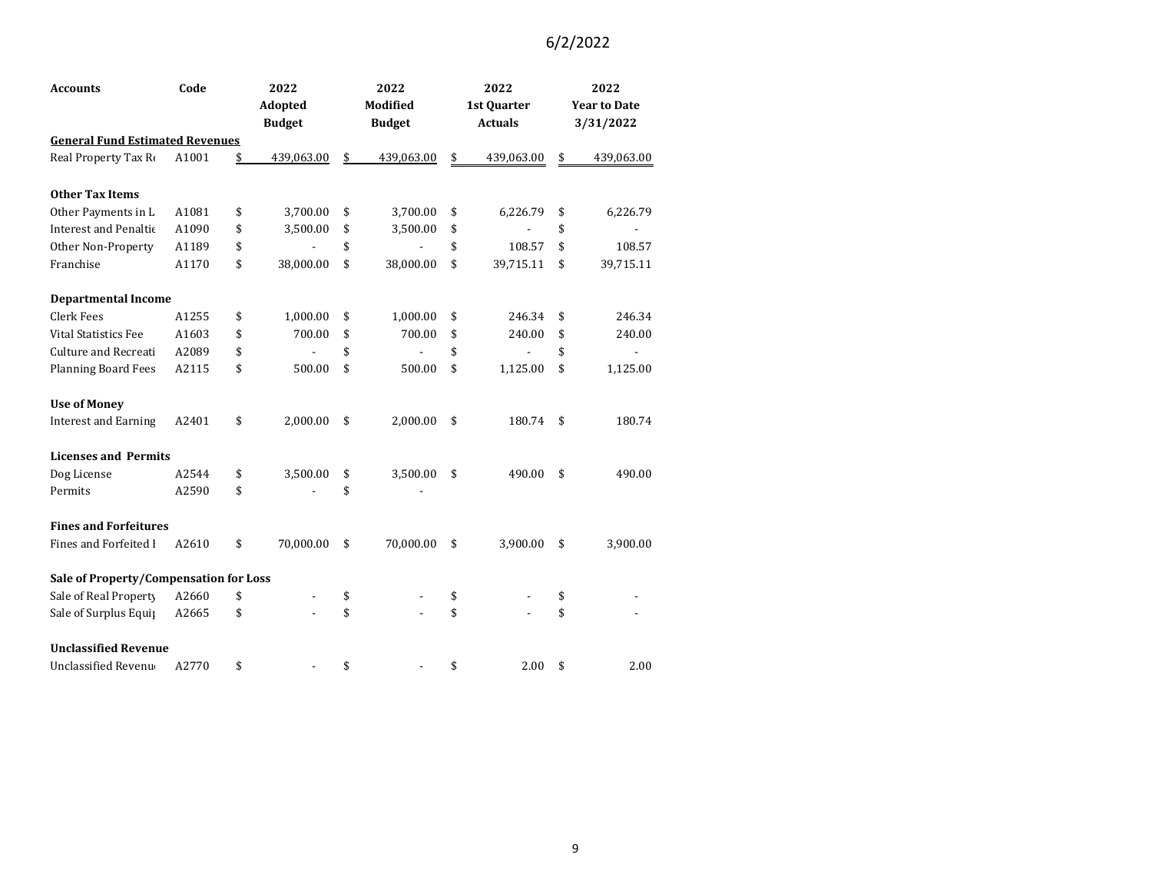| <b>Accounts</b>                        | Code  | 2022             | 2022             | 2022             |                     | 2022           |  |
|----------------------------------------|-------|------------------|------------------|------------------|---------------------|----------------|--|
|                                        |       | Adopted          | <b>Modified</b>  | 1st Quarter      | <b>Year to Date</b> |                |  |
|                                        |       | <b>Budget</b>    | <b>Budget</b>    | <b>Actuals</b>   |                     | 3/31/2022      |  |
| <b>General Fund Estimated Revenues</b> |       |                  |                  |                  |                     |                |  |
| Real Property Tax Ro                   | A1001 | \$<br>439,063.00 | \$<br>439,063.00 | \$<br>439,063.00 | \$                  | 439,063.00     |  |
| <b>Other Tax Items</b>                 |       |                  |                  |                  |                     |                |  |
| Other Payments in L                    | A1081 | \$<br>3,700.00   | \$<br>3,700.00   | \$<br>6,226.79   | \$                  | 6,226.79       |  |
| <b>Interest and Penaltic</b>           | A1090 | \$<br>3,500.00   | \$<br>3,500.00   | \$               | \$                  |                |  |
| Other Non-Property                     | A1189 | \$               | \$               | \$<br>108.57     | \$                  | 108.57         |  |
| Franchise                              | A1170 | \$<br>38,000.00  | \$<br>38,000.00  | \$<br>39,715.11  | \$                  | 39,715.11      |  |
| <b>Departmental Income</b>             |       |                  |                  |                  |                     |                |  |
| Clerk Fees                             | A1255 | \$<br>1,000.00   | \$<br>1,000.00   | \$<br>246.34     | \$                  | 246.34         |  |
| <b>Vital Statistics Fee</b>            | A1603 | \$<br>700.00     | \$<br>700.00     | \$<br>240.00     | \$                  | 240.00         |  |
| <b>Culture and Recreati</b>            | A2089 | \$               | \$               | \$               | \$                  | $\blacksquare$ |  |
| <b>Planning Board Fees</b>             | A2115 | \$<br>500.00     | \$<br>500.00     | \$<br>1,125.00   | \$                  | 1,125.00       |  |
| <b>Use of Money</b>                    |       |                  |                  |                  |                     |                |  |
| <b>Interest and Earning</b>            | A2401 | \$<br>2,000.00   | \$<br>2,000.00   | \$<br>180.74     | \$                  | 180.74         |  |
| <b>Licenses and Permits</b>            |       |                  |                  |                  |                     |                |  |
| Dog License                            | A2544 | \$<br>3,500.00   | \$<br>3,500.00   | \$<br>490.00     | \$                  | 490.00         |  |
| Permits                                | A2590 | \$               | \$               |                  |                     |                |  |
| <b>Fines and Forfeitures</b>           |       |                  |                  |                  |                     |                |  |
| Fines and Forfeited I                  | A2610 | \$<br>70,000.00  | \$<br>70,000.00  | \$<br>3,900.00   | \$                  | 3,900.00       |  |
| Sale of Property/Compensation for Loss |       |                  |                  |                  |                     |                |  |
| Sale of Real Property                  | A2660 | \$               | \$               | \$               | \$                  |                |  |
| Sale of Surplus Equip                  | A2665 | \$               | \$               | \$               | \$                  |                |  |
| <b>Unclassified Revenue</b>            |       |                  |                  |                  |                     |                |  |
| Unclassified Revenu                    | A2770 | \$               | \$               | \$<br>2.00       | \$                  | 2.00           |  |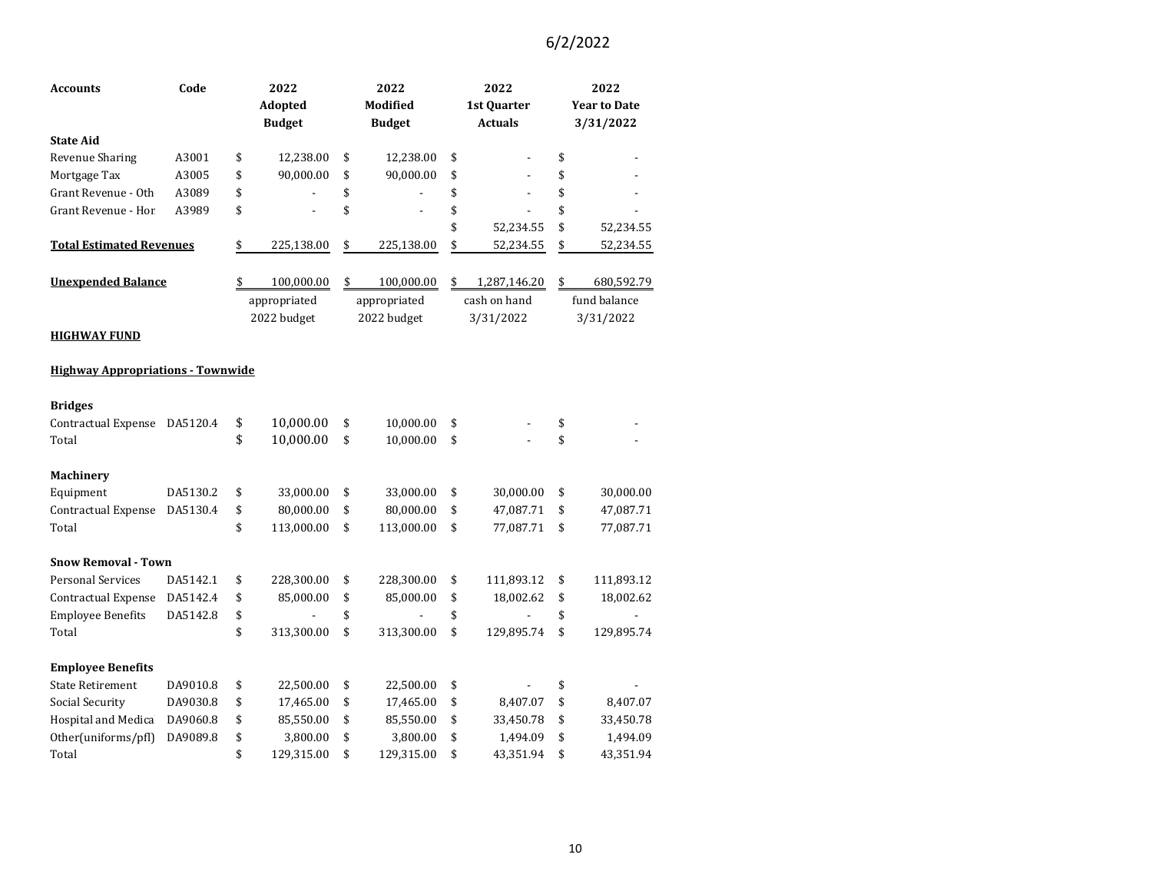| <b>Accounts</b>                          | Code     | 2022             | 2022             | 2022                 | 2022                |
|------------------------------------------|----------|------------------|------------------|----------------------|---------------------|
|                                          |          | Adopted          | Modified         | 1st Quarter          | <b>Year to Date</b> |
|                                          |          | <b>Budget</b>    | <b>Budget</b>    | <b>Actuals</b>       | 3/31/2022           |
| <b>State Aid</b>                         |          |                  |                  |                      |                     |
| Revenue Sharing                          | A3001    | \$<br>12,238.00  | \$<br>12,238.00  | \$                   | \$                  |
| Mortgage Tax                             | A3005    | \$<br>90,000.00  | \$<br>90,000.00  | \$                   | \$                  |
| Grant Revenue - Oth                      | A3089    | \$               | \$               | \$<br>$\overline{a}$ | \$                  |
| Grant Revenue - Hor.                     | A3989    | \$               | \$               | \$                   | \$                  |
|                                          |          |                  |                  | \$<br>52,234.55      | \$<br>52,234.55     |
| <b>Total Estimated Revenues</b>          |          | \$<br>225,138.00 | \$<br>225,138.00 | \$<br>52,234.55      | \$<br>52,234.55     |
| <b>Unexpended Balance</b>                |          | \$<br>100,000.00 | \$<br>100,000.00 | \$<br>1,287,146.20   | \$<br>680,592.79    |
|                                          |          | appropriated     | appropriated     | cash on hand         | fund balance        |
|                                          |          | 2022 budget      | 2022 budget      | 3/31/2022            | 3/31/2022           |
| <b>HIGHWAY FUND</b>                      |          |                  |                  |                      |                     |
| <b>Highway Appropriations - Townwide</b> |          |                  |                  |                      |                     |
| <b>Bridges</b>                           |          |                  |                  |                      |                     |
| Contractual Expense                      | DA5120.4 | \$<br>10,000.00  | \$<br>10,000.00  | \$                   | \$                  |
| Total                                    |          | \$<br>10,000.00  | \$<br>10,000.00  | \$                   | \$                  |
| Machinery                                |          |                  |                  |                      |                     |
| Equipment                                | DA5130.2 | \$<br>33,000.00  | \$<br>33,000.00  | \$<br>30,000.00      | \$<br>30,000.00     |
| <b>Contractual Expense</b>               | DA5130.4 | \$<br>80,000.00  | \$<br>80,000.00  | \$<br>47,087.71      | \$<br>47,087.71     |
| Total                                    |          | \$<br>113,000.00 | \$<br>113,000.00 | \$<br>77,087.71      | \$<br>77,087.71     |
| <b>Snow Removal - Town</b>               |          |                  |                  |                      |                     |
| <b>Personal Services</b>                 | DA5142.1 | \$<br>228,300.00 | \$<br>228,300.00 | \$<br>111,893.12     | \$<br>111,893.12    |
| Contractual Expense                      | DA5142.4 | \$<br>85,000.00  | \$<br>85,000.00  | \$<br>18,002.62      | \$<br>18,002.62     |
| <b>Employee Benefits</b>                 | DA5142.8 | \$               | \$               | \$                   | \$                  |
| Total                                    |          | \$<br>313,300.00 | \$<br>313,300.00 | \$<br>129,895.74     | \$<br>129,895.74    |
| <b>Employee Benefits</b>                 |          |                  |                  |                      |                     |
| <b>State Retirement</b>                  | DA9010.8 | \$<br>22,500.00  | \$<br>22,500.00  | \$                   | \$                  |
| Social Security                          | DA9030.8 | \$<br>17,465.00  | \$<br>17,465.00  | \$<br>8,407.07       | \$<br>8,407.07      |
| Hospital and Medica                      | DA9060.8 | \$<br>85,550.00  | \$<br>85,550.00  | \$<br>33,450.78      | \$<br>33,450.78     |
| Other(uniforms/pfl)                      | DA9089.8 | \$<br>3,800.00   | \$<br>3,800.00   | \$<br>1,494.09       | \$<br>1,494.09      |
| Total                                    |          | \$<br>129,315.00 | \$<br>129,315.00 | \$<br>43,351.94      | \$<br>43,351.94     |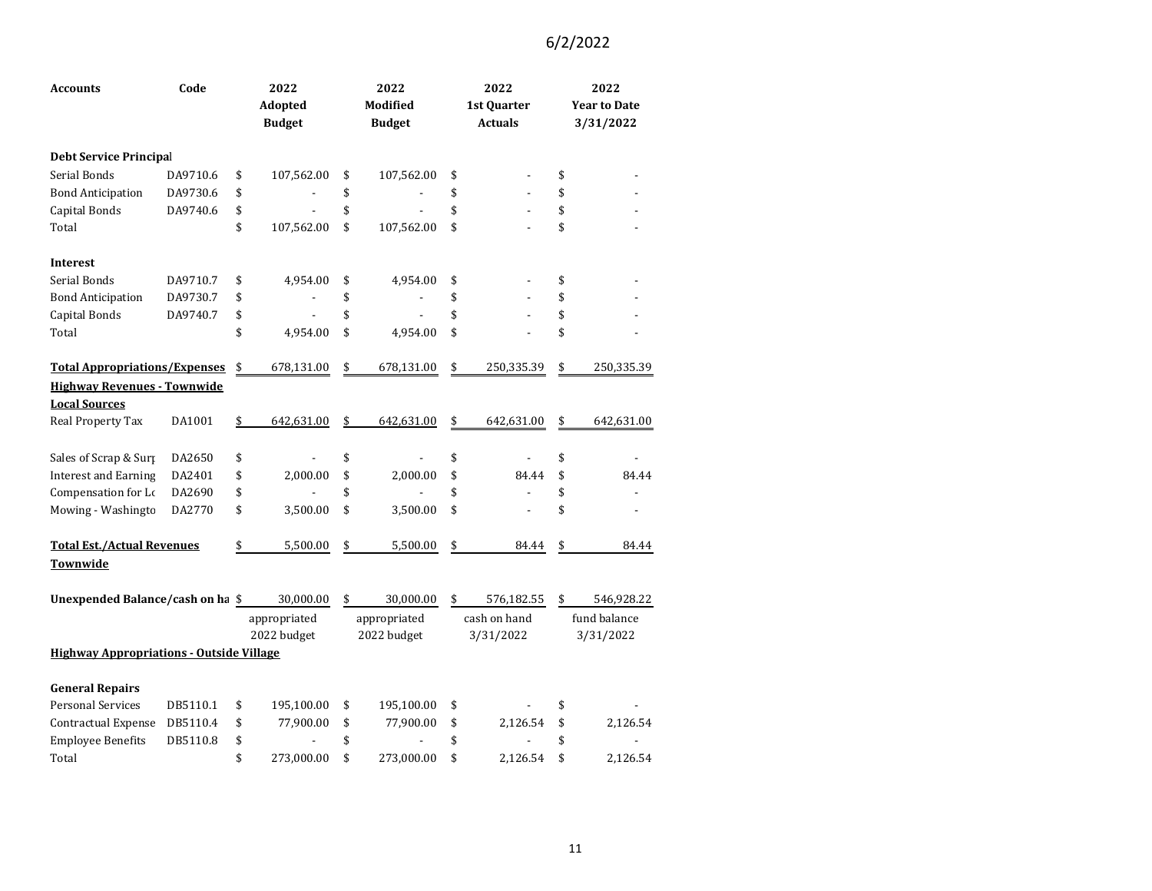| Accounts                                        | Code     | 2022<br>Adopted<br><b>Budget</b> | 2022<br>Modified<br><b>Budget</b> | 2022<br>1st Quarter<br><b>Actuals</b> | 2022<br><b>Year to Date</b><br>3/31/2022 |
|-------------------------------------------------|----------|----------------------------------|-----------------------------------|---------------------------------------|------------------------------------------|
| <b>Debt Service Principal</b>                   |          |                                  |                                   |                                       |                                          |
| Serial Bonds                                    | DA9710.6 | \$<br>107,562.00                 | \$<br>107,562.00                  | \$                                    | \$                                       |
| <b>Bond Anticipation</b>                        | DA9730.6 | \$                               | \$                                | \$                                    | \$                                       |
| Capital Bonds                                   | DA9740.6 | \$                               | \$                                | \$                                    | \$                                       |
| Total                                           |          | \$<br>107,562.00                 | \$<br>107,562.00                  | \$                                    | \$                                       |
| <b>Interest</b>                                 |          |                                  |                                   |                                       |                                          |
| Serial Bonds                                    | DA9710.7 | \$<br>4,954.00                   | \$<br>4,954.00                    | \$                                    | \$                                       |
| <b>Bond Anticipation</b>                        | DA9730.7 | \$                               | \$                                | \$                                    | \$                                       |
| Capital Bonds                                   | DA9740.7 | \$<br>$\overline{\phantom{0}}$   | \$                                | \$                                    | \$                                       |
| Total                                           |          | \$<br>4,954.00                   | \$<br>4,954.00                    | \$                                    | \$                                       |
| <b>Total Appropriations/Expenses</b>            |          | \$<br>678,131.00                 | \$<br>678,131.00                  | \$<br>250,335.39                      | \$<br>250,335.39                         |
| <b>Highway Revenues - Townwide</b>              |          |                                  |                                   |                                       |                                          |
| <b>Local Sources</b>                            |          |                                  |                                   |                                       |                                          |
| Real Property Tax                               | DA1001   | \$<br>642,631.00                 | \$<br>642,631.00                  | \$<br>642,631.00                      | \$<br>642,631.00                         |
| Sales of Scrap & Surp                           | DA2650   | \$                               | \$                                | \$                                    | \$                                       |
| <b>Interest and Earning</b>                     | DA2401   | \$<br>2,000.00                   | \$<br>2,000.00                    | \$<br>84.44                           | \$<br>84.44                              |
| Compensation for Lo                             | DA2690   | \$                               | \$                                | \$                                    | \$                                       |
| Mowing - Washingto                              | DA2770   | \$<br>3,500.00                   | \$<br>3,500.00                    | \$                                    | \$                                       |
| <b>Total Est./Actual Revenues</b>               |          | \$<br>5,500.00                   | \$<br>5,500.00                    | \$<br>84.44                           | \$<br>84.44                              |
| Townwide                                        |          |                                  |                                   |                                       |                                          |
| Unexpended Balance/cash on ha \$                |          | 30,000.00                        | \$<br>30,000.00                   | \$<br>576,182.55                      | \$<br>546,928.22                         |
|                                                 |          | appropriated                     | appropriated                      | cash on hand                          | fund balance                             |
|                                                 |          | 2022 budget                      | 2022 budget                       | 3/31/2022                             | 3/31/2022                                |
| <b>Highway Appropriations - Outside Village</b> |          |                                  |                                   |                                       |                                          |
| <b>General Repairs</b>                          |          |                                  |                                   |                                       |                                          |
| <b>Personal Services</b>                        | DB5110.1 | \$<br>195,100.00                 | \$<br>195,100.00                  | \$                                    | \$                                       |
| Contractual Expense                             | DB5110.4 | \$<br>77,900.00                  | \$<br>77,900.00                   | \$<br>2,126.54                        | \$<br>2,126.54                           |
| <b>Employee Benefits</b>                        | DB5110.8 | \$                               | \$                                | \$                                    | \$                                       |
| Total                                           |          | \$<br>273,000.00                 | \$<br>273,000.00                  | \$<br>2,126.54                        | \$<br>2,126.54                           |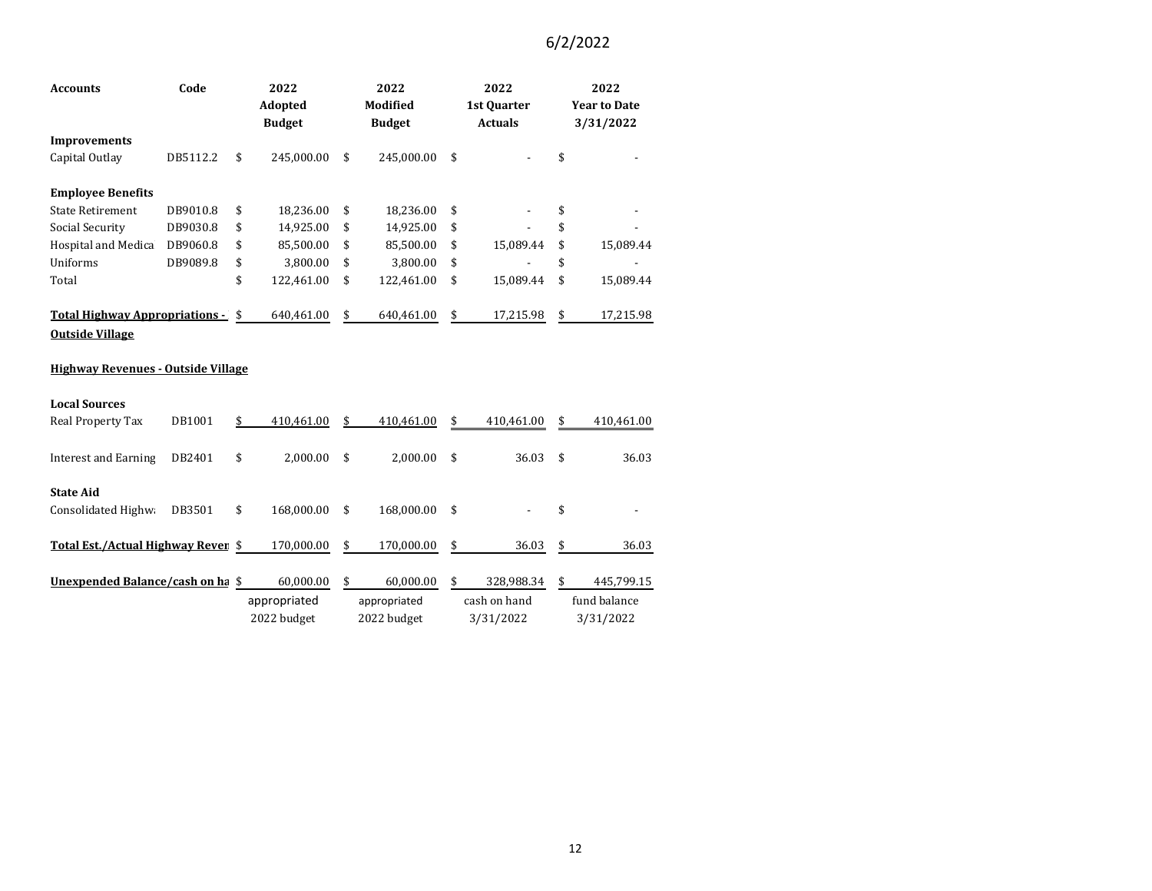| <b>Accounts</b>                                                 | Code     | 2022<br><b>Adopted</b> |               | 2022<br><b>Modified</b> |               | 2022<br>1st Quarter |                | 2022<br><b>Year to Date</b> |              |
|-----------------------------------------------------------------|----------|------------------------|---------------|-------------------------|---------------|---------------------|----------------|-----------------------------|--------------|
|                                                                 |          |                        | <b>Budget</b> |                         | <b>Budget</b> |                     | <b>Actuals</b> | 3/31/2022                   |              |
| <b>Improvements</b>                                             |          |                        |               |                         |               |                     |                |                             |              |
| Capital Outlay                                                  | DB5112.2 | \$                     | 245,000.00    | \$                      | 245,000.00    | \$                  |                | \$                          |              |
| <b>Employee Benefits</b>                                        |          |                        |               |                         |               |                     |                |                             |              |
| <b>State Retirement</b>                                         | DB9010.8 | \$                     | 18,236.00     | \$                      | 18,236.00     | \$                  |                | \$                          |              |
| Social Security                                                 | DB9030.8 | \$                     | 14,925.00     | \$                      | 14,925.00     | \$                  |                | \$                          |              |
| Hospital and Medica                                             | DB9060.8 | \$                     | 85,500.00     | \$                      | 85,500.00     | \$                  | 15,089.44      | \$                          | 15,089.44    |
| Uniforms                                                        | DB9089.8 | \$                     | 3,800.00      | \$                      | 3,800.00      | \$                  |                | \$                          |              |
| Total                                                           |          | \$                     | 122,461.00    | \$                      | 122,461.00    | \$                  | 15,089.44      | \$                          | 15,089.44    |
| <b>Total Highway Appropriations -</b><br><b>Outside Village</b> |          | \$                     | 640,461.00    | \$                      | 640,461.00    | \$                  | 17,215.98      | \$                          | 17,215.98    |
| <b>Highway Revenues - Outside Village</b>                       |          |                        |               |                         |               |                     |                |                             |              |
| <b>Local Sources</b>                                            |          |                        |               |                         |               |                     |                |                             |              |
| Real Property Tax                                               | DB1001   | \$                     | 410,461.00    | \$                      | 410,461.00    | \$                  | 410,461.00     | \$                          | 410,461.00   |
| <b>Interest and Earning</b>                                     | DB2401   | \$                     | 2,000.00      | \$                      | 2,000.00      | \$                  | 36.03          | \$                          | 36.03        |
| <b>State Aid</b>                                                |          |                        |               |                         |               |                     |                |                             |              |
| Consolidated Highwa                                             | DB3501   | \$                     | 168,000.00    | \$                      | 168,000.00    | \$                  |                | \$                          |              |
| Total Est./Actual Highway Rever \$                              |          |                        | 170,000.00    | \$                      | 170,000.00    | \$                  | 36.03          | \$                          | 36.03        |
| Unexpended Balance/cash on ha \$                                |          |                        | 60,000.00     | \$                      | 60,000.00     | \$                  | 328,988.34     | \$                          | 445,799.15   |
|                                                                 |          |                        | appropriated  |                         | appropriated  |                     | cash on hand   |                             | fund balance |
|                                                                 |          |                        | 2022 budget   |                         | 2022 budget   |                     | 3/31/2022      |                             | 3/31/2022    |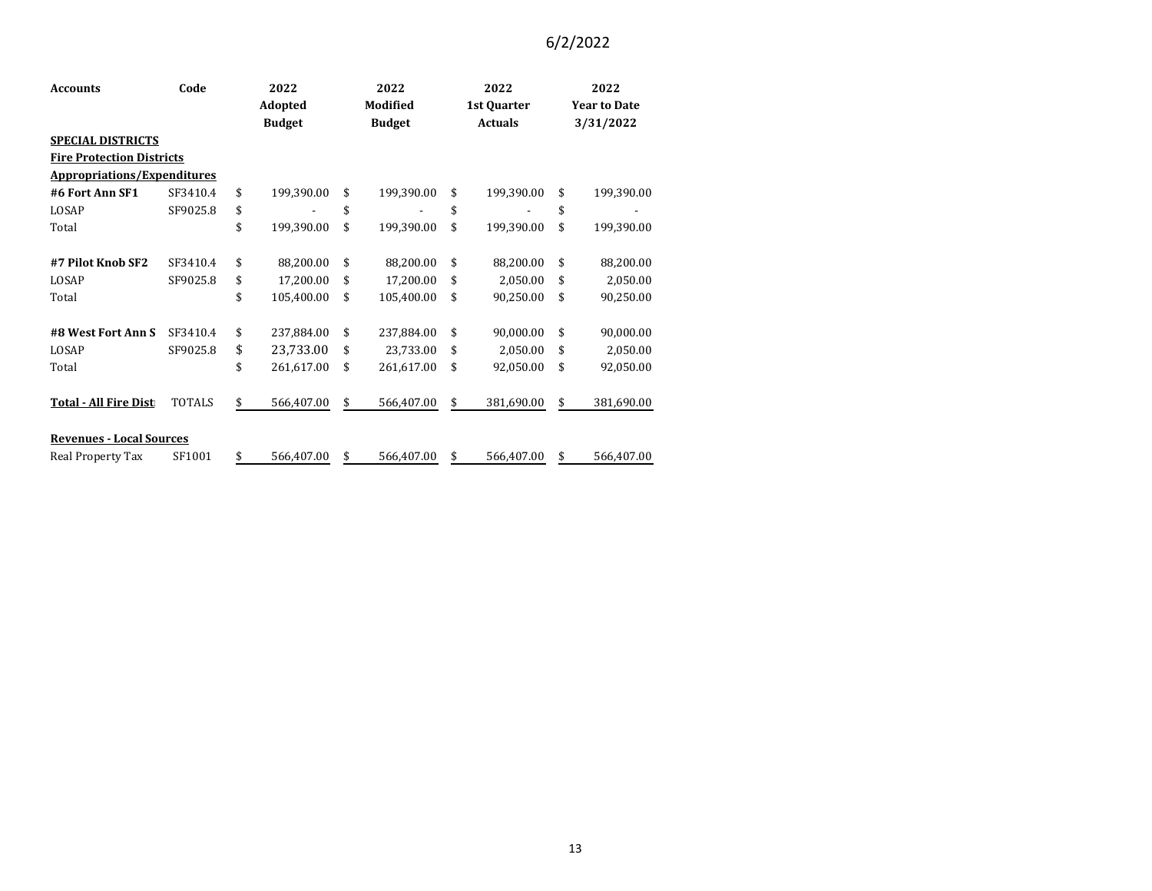| <b>Accounts</b>                    | Code     |               | 2022       | 2022          |            | 2022        |                | 2022                |            |  |
|------------------------------------|----------|---------------|------------|---------------|------------|-------------|----------------|---------------------|------------|--|
|                                    |          | Adopted       |            | Modified      |            | 1st Quarter |                | <b>Year to Date</b> |            |  |
|                                    |          | <b>Budget</b> |            | <b>Budget</b> |            |             | <b>Actuals</b> |                     | 3/31/2022  |  |
| <b>SPECIAL DISTRICTS</b>           |          |               |            |               |            |             |                |                     |            |  |
| <b>Fire Protection Districts</b>   |          |               |            |               |            |             |                |                     |            |  |
| <b>Appropriations/Expenditures</b> |          |               |            |               |            |             |                |                     |            |  |
| #6 Fort Ann SF1                    | SF3410.4 | \$            | 199,390.00 | \$            | 199,390.00 | \$          | 199,390.00     | \$                  | 199,390.00 |  |
| LOSAP                              | SF9025.8 | \$            |            | \$            |            | \$          |                | \$                  |            |  |
| Total                              |          | \$            | 199,390.00 | \$            | 199,390.00 | \$          | 199,390.00     | \$                  | 199,390.00 |  |
|                                    |          |               |            |               |            |             |                |                     |            |  |
| #7 Pilot Knob SF2                  | SF3410.4 | \$            | 88,200.00  | \$            | 88,200.00  | \$          | 88,200.00      | \$                  | 88,200.00  |  |
| LOSAP                              | SF9025.8 | \$            | 17,200.00  | \$            | 17,200.00  | \$          | 2,050.00       | \$                  | 2,050.00   |  |
| Total                              |          | \$            | 105,400.00 | \$            | 105,400.00 | \$          | 90,250.00      | \$                  | 90,250.00  |  |
|                                    |          |               |            |               |            |             |                |                     |            |  |
| #8 West Fort Ann S                 | SF3410.4 | \$            | 237,884.00 | \$            | 237,884.00 | \$          | 90,000.00      | \$                  | 90,000.00  |  |
| LOSAP                              | SF9025.8 | \$            | 23,733.00  | \$            | 23,733.00  | \$          | 2,050.00       | \$                  | 2,050.00   |  |
| Total                              |          | \$            | 261,617.00 | \$            | 261,617.00 | \$          | 92,050.00      | \$                  | 92,050.00  |  |
|                                    |          |               |            |               |            |             |                |                     |            |  |
| <b>Total - All Fire Dist</b>       | TOTALS   | \$            | 566,407.00 | \$            | 566,407.00 | \$          | 381,690.00     | \$                  | 381,690.00 |  |
|                                    |          |               |            |               |            |             |                |                     |            |  |
| <b>Revenues - Local Sources</b>    |          |               |            |               |            |             |                |                     |            |  |
| Real Property Tax                  | SF1001   | \$            | 566,407.00 | \$            | 566,407.00 | \$          | 566,407.00     | \$                  | 566,407.00 |  |